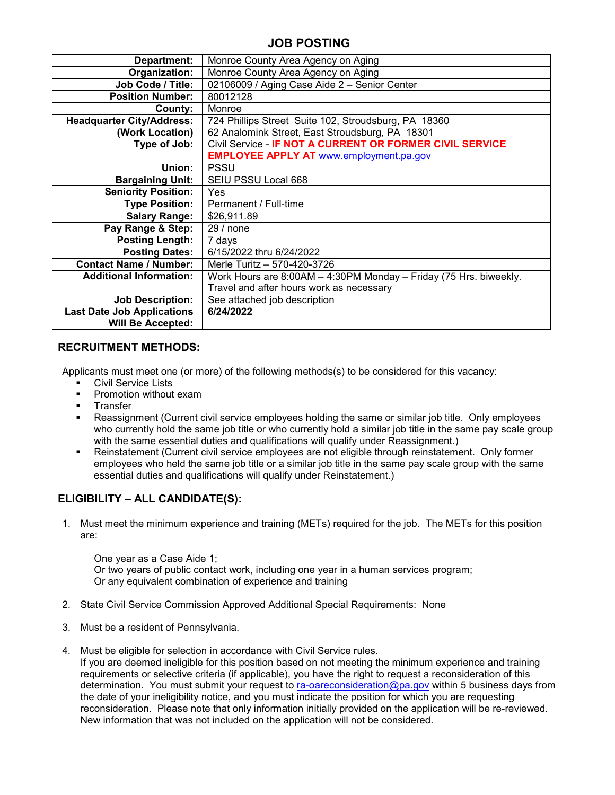## **JOB POSTING**

| Department:                       | Monroe County Area Agency on Aging                                |  |  |  |  |  |
|-----------------------------------|-------------------------------------------------------------------|--|--|--|--|--|
| Organization:                     | Monroe County Area Agency on Aging                                |  |  |  |  |  |
| Job Code / Title:                 | 02106009 / Aging Case Aide 2 - Senior Center                      |  |  |  |  |  |
| <b>Position Number:</b>           | 80012128                                                          |  |  |  |  |  |
| County:                           | Monroe                                                            |  |  |  |  |  |
| <b>Headquarter City/Address:</b>  | 724 Phillips Street Suite 102, Stroudsburg, PA 18360              |  |  |  |  |  |
| (Work Location)                   | 62 Analomink Street, East Stroudsburg, PA 18301                   |  |  |  |  |  |
| Type of Job:                      | Civil Service - IF NOT A CURRENT OR FORMER CIVIL SERVICE          |  |  |  |  |  |
|                                   | <b>EMPLOYEE APPLY AT www.employment.pa.gov</b>                    |  |  |  |  |  |
| Union:                            | <b>PSSU</b>                                                       |  |  |  |  |  |
| <b>Bargaining Unit:</b>           | SEIU PSSU Local 668                                               |  |  |  |  |  |
| <b>Seniority Position:</b>        | Yes                                                               |  |  |  |  |  |
| <b>Type Position:</b>             | Permanent / Full-time                                             |  |  |  |  |  |
| <b>Salary Range:</b>              | \$26,911.89                                                       |  |  |  |  |  |
| Pay Range & Step:                 | 29/none                                                           |  |  |  |  |  |
| <b>Posting Length:</b>            | 7 days                                                            |  |  |  |  |  |
| <b>Posting Dates:</b>             | 6/15/2022 thru 6/24/2022                                          |  |  |  |  |  |
| <b>Contact Name / Number:</b>     | Merle Turitz - 570-420-3726                                       |  |  |  |  |  |
| <b>Additional Information:</b>    | Work Hours are 8:00AM - 4:30PM Monday - Friday (75 Hrs. biweekly. |  |  |  |  |  |
|                                   | Travel and after hours work as necessary                          |  |  |  |  |  |
| <b>Job Description:</b>           | See attached job description                                      |  |  |  |  |  |
| <b>Last Date Job Applications</b> | 6/24/2022                                                         |  |  |  |  |  |
| <b>Will Be Accepted:</b>          |                                                                   |  |  |  |  |  |

### **RECRUITMENT METHODS:**

Applicants must meet one (or more) of the following methods(s) to be considered for this vacancy:

- **Civil Service Lists**
- **•** Promotion without exam
- **Transfer**
- Reassignment (Current civil service employees holding the same or similar job title. Only employees who currently hold the same job title or who currently hold a similar job title in the same pay scale group with the same essential duties and qualifications will qualify under Reassignment.)
- Reinstatement (Current civil service employees are not eligible through reinstatement. Only former employees who held the same job title or a similar job title in the same pay scale group with the same essential duties and qualifications will qualify under Reinstatement.)

## **ELIGIBILITY – ALL CANDIDATE(S):**

1. Must meet the minimum experience and training (METs) required for the job. The METs for this position are:

One year as a Case Aide 1; Or two years of public contact work, including one year in a human services program; Or any equivalent combination of experience and training

- 2. State Civil Service Commission Approved Additional Special Requirements: None
- 3. Must be a resident of Pennsylvania.
- 4. Must be eligible for selection in accordance with Civil Service rules.

If you are deemed ineligible for this position based on not meeting the minimum experience and training requirements or selective criteria (if applicable), you have the right to request a reconsideration of this determination. You must submit your request to [ra-oareconsideration@pa.gov](mailto:ra-oareconsideration@pa.gov) within 5 business days from the date of your ineligibility notice, and you must indicate the position for which you are requesting reconsideration. Please note that only information initially provided on the application will be re-reviewed. New information that was not included on the application will not be considered.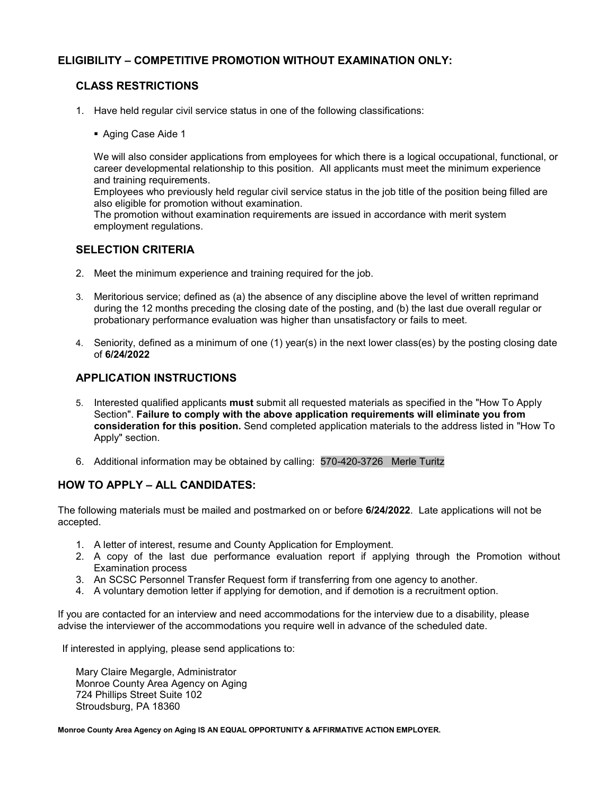## **ELIGIBILITY – COMPETITIVE PROMOTION WITHOUT EXAMINATION ONLY:**

## **CLASS RESTRICTIONS**

- 1. Have held regular civil service status in one of the following classifications:
	- Aging Case Aide 1

We will also consider applications from employees for which there is a logical occupational, functional, or career developmental relationship to this position. All applicants must meet the minimum experience and training requirements.

Employees who previously held regular civil service status in the job title of the position being filled are also eligible for promotion without examination.

The promotion without examination requirements are issued in accordance with merit system employment regulations.

#### **SELECTION CRITERIA**

- 2. Meet the minimum experience and training required for the job.
- 3. Meritorious service; defined as (a) the absence of any discipline above the level of written reprimand during the 12 months preceding the closing date of the posting, and (b) the last due overall regular or probationary performance evaluation was higher than unsatisfactory or fails to meet.
- 4. Seniority, defined as a minimum of one (1) year(s) in the next lower class(es) by the posting closing date of **6/24/2022**

## **APPLICATION INSTRUCTIONS**

- 5. Interested qualified applicants **must** submit all requested materials as specified in the "How To Apply Section". **Failure to comply with the above application requirements will eliminate you from consideration for this position.** Send completed application materials to the address listed in "How To Apply" section.
- 6. Additional information may be obtained by calling: 570-420-3726 Merle Turitz

## **HOW TO APPLY – ALL CANDIDATES:**

The following materials must be mailed and postmarked on or before **6/24/2022**. Late applications will not be accepted.

- 1. A letter of interest, resume and County Application for Employment.
- 2. A copy of the last due performance evaluation report if applying through the Promotion without Examination process
- 3. An SCSC Personnel Transfer Request form if transferring from one agency to another.
- 4. A voluntary demotion letter if applying for demotion, and if demotion is a recruitment option.

If you are contacted for an interview and need accommodations for the interview due to a disability, please advise the interviewer of the accommodations you require well in advance of the scheduled date.

If interested in applying, please send applications to:

Mary Claire Megargle, Administrator Monroe County Area Agency on Aging 724 Phillips Street Suite 102 Stroudsburg, PA 18360

**Monroe County Area Agency on Aging IS AN EQUAL OPPORTUNITY & AFFIRMATIVE ACTION EMPLOYER.**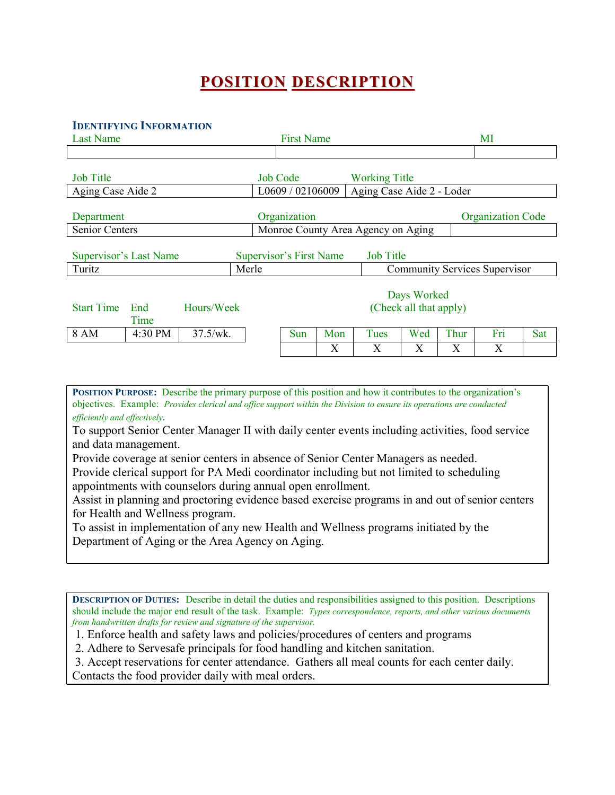# **POSITION DESCRIPTION**

#### **IDENTIFYING INFORMATION**

| <b>Last Name</b>       |             |                                    | <b>First Name</b>                     |                                |     |                           |     |      | MI                                   |     |
|------------------------|-------------|------------------------------------|---------------------------------------|--------------------------------|-----|---------------------------|-----|------|--------------------------------------|-----|
|                        |             |                                    |                                       |                                |     |                           |     |      |                                      |     |
| <b>Job Title</b>       |             |                                    |                                       | <b>Job Code</b>                |     | <b>Working Title</b>      |     |      |                                      |     |
| Aging Case Aide 2      |             |                                    |                                       | L0609 / 02106009               |     | Aging Case Aide 2 - Loder |     |      |                                      |     |
| Department             |             |                                    |                                       | Organization                   |     |                           |     |      | <b>Organization Code</b>             |     |
| Senior Centers         |             | Monroe County Area Agency on Aging |                                       |                                |     |                           |     |      |                                      |     |
| Supervisor's Last Name |             |                                    |                                       | <b>Supervisor's First Name</b> |     | <b>Job Title</b>          |     |      |                                      |     |
| Turitz                 |             |                                    | Merle                                 |                                |     |                           |     |      | <b>Community Services Supervisor</b> |     |
| <b>Start Time</b>      | End<br>Time | Hours/Week                         | Days Worked<br>(Check all that apply) |                                |     |                           |     |      |                                      |     |
| 8 AM                   | 4:30 PM     | 37.5/wk.                           |                                       | Sun                            | Mon | Tues                      | Wed | Thur | Fri                                  | Sat |
|                        |             |                                    |                                       |                                | X   | X                         | X   | Χ    | X                                    |     |

**POSITION PURPOSE:** Describe the primary purpose of this position and how it contributes to the organization's objectives. Example: *Provides clerical and office support within the Division to ensure its operations are conducted efficiently and effectively.*

To support Senior Center Manager II with daily center events including activities, food service and data management.

Provide coverage at senior centers in absence of Senior Center Managers as needed.

Provide clerical support for PA Medi coordinator including but not limited to scheduling appointments with counselors during annual open enrollment.

Assist in planning and proctoring evidence based exercise programs in and out of senior centers for Health and Wellness program.

To assist in implementation of any new Health and Wellness programs initiated by the Department of Aging or the Area Agency on Aging.

**DESCRIPTION OF DUTIES:** Describe in detail the duties and responsibilities assigned to this position. Descriptions should include the major end result of the task. Example: *Types correspondence, reports, and other various documents from handwritten drafts for review and signature of the supervisor.* 

1. Enforce health and safety laws and policies/procedures of centers and programs

2. Adhere to Servesafe principals for food handling and kitchen sanitation.

3. Accept reservations for center attendance. Gathers all meal counts for each center daily.

Contacts the food provider daily with meal orders.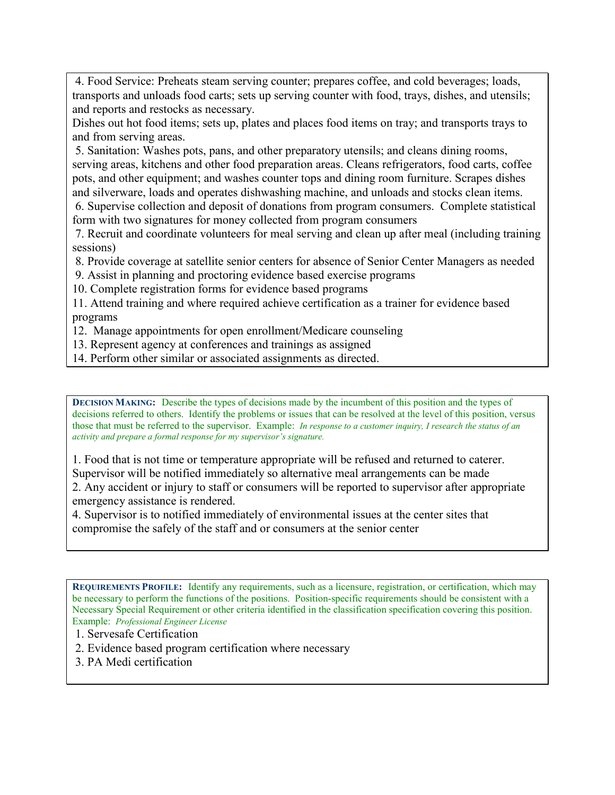4. Food Service: Preheats steam serving counter; prepares coffee, and cold beverages; loads, transports and unloads food carts; sets up serving counter with food, trays, dishes, and utensils; and reports and restocks as necessary.

Dishes out hot food items; sets up, plates and places food items on tray; and transports trays to and from serving areas.

5. Sanitation: Washes pots, pans, and other preparatory utensils; and cleans dining rooms, serving areas, kitchens and other food preparation areas. Cleans refrigerators, food carts, coffee pots, and other equipment; and washes counter tops and dining room furniture. Scrapes dishes and silverware, loads and operates dishwashing machine, and unloads and stocks clean items.

6. Supervise collection and deposit of donations from program consumers. Complete statistical form with two signatures for money collected from program consumers

7. Recruit and coordinate volunteers for meal serving and clean up after meal (including training sessions)

8. Provide coverage at satellite senior centers for absence of Senior Center Managers as needed

9. Assist in planning and proctoring evidence based exercise programs

10. Complete registration forms for evidence based programs

11. Attend training and where required achieve certification as a trainer for evidence based programs

12. Manage appointments for open enrollment/Medicare counseling

- 13. Represent agency at conferences and trainings as assigned
- 14. Perform other similar or associated assignments as directed.

**DECISION MAKING:** Describe the types of decisions made by the incumbent of this position and the types of decisions referred to others. Identify the problems or issues that can be resolved at the level of this position, versus those that must be referred to the supervisor. Example: *In response to a customer inquiry, I research the status of an activity and prepare a formal response for my supervisor's signature.*

1. Food that is not time or temperature appropriate will be refused and returned to caterer. Supervisor will be notified immediately so alternative meal arrangements can be made 2. Any accident or injury to staff or consumers will be reported to supervisor after appropriate emergency assistance is rendered.

4. Supervisor is to notified immediately of environmental issues at the center sites that compromise the safely of the staff and or consumers at the senior center

**REQUIREMENTS PROFILE:** Identify any requirements, such as a licensure, registration, or certification, which may be necessary to perform the functions of the positions. Position-specific requirements should be consistent with a Necessary Special Requirement or other criteria identified in the classification specification covering this position. Example: *Professional Engineer License*

- 1. Servesafe Certification
- 2. Evidence based program certification where necessary
- 3. PA Medi certification